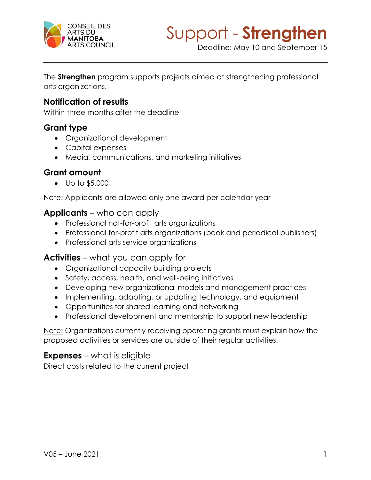

Deadline: May 10 and September 15

The **Strengthen** program supports projects aimed at strengthening professional arts organizations.

# **Notification of results**

Within three months after the deadline

# **Grant type**

- Organizational development
- Capital expenses
- Media, communications, and marketing initiatives

# **Grant amount**

• Up to \$5,000

Note: Applicants are allowed only one award per calendar year

## **Applicants** – who can apply

- Professional not-for-profit arts organizations
- Professional for-profit arts organizations (book and periodical publishers)
- Professional arts service organizations

# **Activities** – what you can apply for

- Organizational capacity building projects
- Safety, access, health, and well-being initiatives
- Developing new organizational models and management practices
- Implementing, adapting, or updating technology, and equipment
- Opportunities for shared learning and networking
- Professional development and mentorship to support new leadership

Note: Organizations currently receiving operating grants must explain how the proposed activities or services are outside of their regular activities.

# **Expenses** – what is eligible

Direct costs related to the current project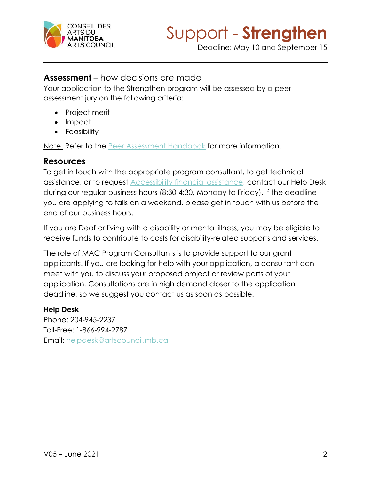

Deadline: May 10 and September 15

# **Assessment** – how decisions are made

Your application to the Strengthen program will be assessed by a peer assessment jury on the following criteria:

- Project merit
- Impact
- Feasibility

Note: Refer to the **Peer Assessment Handbook** for more information.

## **Resources**

To get in touch with the appropriate program consultant, to get technical assistance, or to request [Accessibility financial assistance,](https://artscouncil.mb.ca/grants/accessibility/) contact our Help Desk during our regular business hours (8:30-4:30, Monday to Friday). If the deadline you are applying to falls on a weekend, please get in touch with us before the end of our business hours.

If you are Deaf or living with a disability or mental illness, you may be eligible to receive funds to contribute to costs for disability-related supports and services.

The role of MAC Program Consultants is to provide support to our grant applicants. If you are looking for help with your application, a consultant can meet with you to discuss your proposed project or review parts of your application. Consultations are in high demand closer to the application deadline, so we suggest you contact us as soon as possible.

#### **Help Desk**

Phone: 204-945-2237 Toll-Free: 1-866-994-2787 Email: [helpdesk@artscouncil.mb.ca](mailto:helpdesk@artscouncil.mb.ca)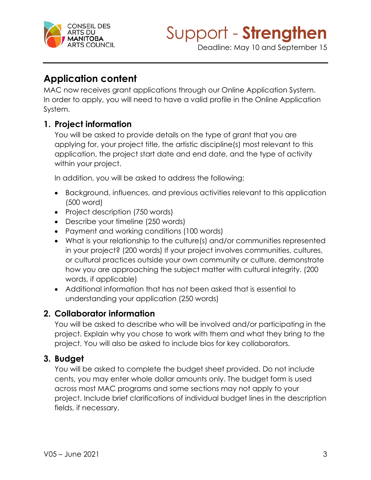

Deadline: May 10 and September 15

# **Application content**

MAC now receives grant applications through our Online Application System. In order to apply, you will need to have a valid profile in the Online Application System.

# **1. Project information**

You will be asked to provide details on the type of grant that you are applying for, your project title, the artistic discipline(s) most relevant to this application, the project start date and end date, and the type of activity within your project.

In addition, you will be asked to address the following:

- Background, influences, and previous activities relevant to this application (500 word)
- Project description (750 words)
- Describe your timeline (250 words)
- Payment and working conditions (100 words)
- What is your relationship to the culture(s) and/or communities represented in your project? (200 words) If your project involves communities, cultures, or cultural practices outside your own community or culture, demonstrate how you are approaching the subject matter with cultural integrity. (200 words, if applicable)
- Additional information that has not been asked that is essential to understanding your application (250 words)

# **2. Collaborator information**

You will be asked to describe who will be involved and/or participating in the project. Explain why you chose to work with them and what they bring to the project. You will also be asked to include bios for key collaborators.

# **3. Budget**

You will be asked to complete the budget sheet provided. Do not include cents, you may enter whole dollar amounts only. The budget form is used across most MAC programs and some sections may not apply to your project. Include brief clarifications of individual budget lines in the description fields, if necessary.